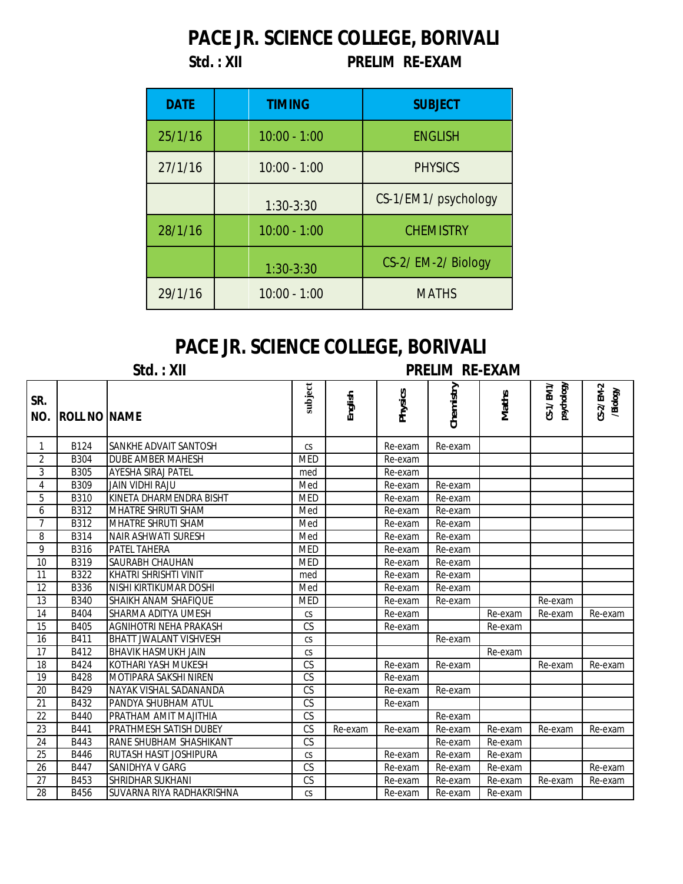## **PACE JR. SCIENCE COLLEGE, BORIVALI**

## **Std. : XII PRELIM RE-EXAM**

| <b>DATE</b> | <b>TIMING</b>  | <b>SUBJECT</b>       |
|-------------|----------------|----------------------|
| 25/1/16     | $10:00 - 1:00$ | <b>ENGLISH</b>       |
| 27/1/16     | $10:00 - 1:00$ | <b>PHYSICS</b>       |
|             | $1:30-3:30$    | CS-1/EM1/ psychology |
| 28/1/16     | $10:00 - 1:00$ | <b>CHEMISTRY</b>     |
|             | $1:30-3:30$    | CS-2/ EM-2/ Biology  |
| 29/1/16     | $10:00 - 1:00$ | <b>MATHS</b>         |

## **PACE JR. SCIENCE COLLEGE, BORIVALI**

| Std. : XII |  |  |  |
|------------|--|--|--|
|            |  |  |  |

**Std. : XII PRELIM RE-EXAM**

| SR.<br>NO.     | <b>ROLL NO NAME</b> |                               | subject                | English | <b>Physics</b> | Chemistry | <b>Maths</b> | CS-1/EM1/<br>psychology | CS-2/EM-2<br>/Biology |
|----------------|---------------------|-------------------------------|------------------------|---------|----------------|-----------|--------------|-------------------------|-----------------------|
| 1              | B124                | SANKHE ADVAIT SANTOSH         | CS                     |         | Re-exam        | Re-exam   |              |                         |                       |
| $\overline{2}$ | <b>B304</b>         | DUBE AMBER MAHESH             | <b>MED</b>             |         | Re-exam        |           |              |                         |                       |
| 3              | <b>B305</b>         | <b>AYESHA SIRAJ PATEL</b>     | med                    |         | Re-exam        |           |              |                         |                       |
| 4              | <b>B309</b>         | <b>JAIN VIDHI RAJU</b>        | Med                    |         | Re-exam        | Re-exam   |              |                         |                       |
| 5              | <b>B310</b>         | KINETA DHARMENDRA BISHT       | <b>MED</b>             |         | Re-exam        | Re-exam   |              |                         |                       |
| 6              | B312                | <b>MHATRE SHRUTI SHAM</b>     | Med                    |         | Re-exam        | Re-exam   |              |                         |                       |
| 7              | B312                | MHATRE SHRUTI SHAM            | Med                    |         | Re-exam        | Re-exam   |              |                         |                       |
| 8              | <b>B314</b>         | NAIR ASHWATI SURESH           | Med                    |         | Re-exam        | Re-exam   |              |                         |                       |
| 9              | <b>B316</b>         | PATEL TAHERA                  | <b>MED</b>             |         | Re-exam        | Re-exam   |              |                         |                       |
| 10             | <b>B319</b>         | SAURABH CHAUHAN               | <b>MED</b>             |         | Re-exam        | Re-exam   |              |                         |                       |
| 11             | B322                | <b>KHATRI SHRISHTI VINIT</b>  | med                    |         | Re-exam        | Re-exam   |              |                         |                       |
| 12             | <b>B336</b>         | NISHI KIRTIKUMAR DOSHI        | Med                    |         | Re-exam        | Re-exam   |              |                         |                       |
| 13             | <b>B340</b>         | <b>SHAIKH ANAM SHAFIQUE</b>   | <b>MED</b>             |         | Re-exam        | Re-exam   |              | Re-exam                 |                       |
| 14             | B404                | SHARMA ADITYA UMESH           | CS                     |         | Re-exam        |           | Re-exam      | Re-exam                 | Re-exam               |
| 15             | B405                | AGNIHOTRI NEHA PRAKASH        | $\overline{\text{CS}}$ |         | Re-exam        |           | Re-exam      |                         |                       |
| 16             | B411                | <b>BHATT JWALANT VISHVESH</b> | CS                     |         |                | Re-exam   |              |                         |                       |
| 17             | B412                | <b>BHAVIK HASMUKH JAIN</b>    | CS                     |         |                |           | Re-exam      |                         |                       |
| 18             | B424                | KOTHARI YASH MUKESH           | $\overline{\text{CS}}$ |         | Re-exam        | Re-exam   |              | Re-exam                 | Re-exam               |
| 19             | B428                | MOTIPARA SAKSHI NIREN         | CS                     |         | Re-exam        |           |              |                         |                       |
| 20             | B429                | NAYAK VISHAL SADANANDA        | $\overline{\text{CS}}$ |         | Re-exam        | Re-exam   |              |                         |                       |
| 21             | B432                | PANDYA SHUBHAM ATUL           | CS                     |         | Re-exam        |           |              |                         |                       |
| 22             | B440                | PRATHAM AMIT MAJITHIA         | CS                     |         |                | Re-exam   |              |                         |                       |
| 23             | B441                | PRATHMESH SATISH DUBEY        | CS                     | Re-exam | Re-exam        | Re-exam   | Re-exam      | Re-exam                 | Re-exam               |
| 24             | B443                | RANE SHUBHAM SHASHIKANT       | CS                     |         |                | Re-exam   | Re-exam      |                         |                       |
| 25             | B446                | RUTASH HASIT JOSHIPURA        | CS                     |         | Re-exam        | Re-exam   | Re-exam      |                         |                       |
| 26             | B447                | SANIDHYA V GARG               | $\overline{\text{CS}}$ |         | Re-exam        | Re-exam   | Re-exam      |                         | Re-exam               |
| 27             | B453                | SHRIDHAR SUKHANI              | $\overline{\text{CS}}$ |         | Re-exam        | Re-exam   | Re-exam      | Re-exam                 | Re-exam               |
| 28             | B456                | SUVARNA RIYA RADHAKRISHNA     | CS                     |         | Re-exam        | Re-exam   | Re-exam      |                         |                       |